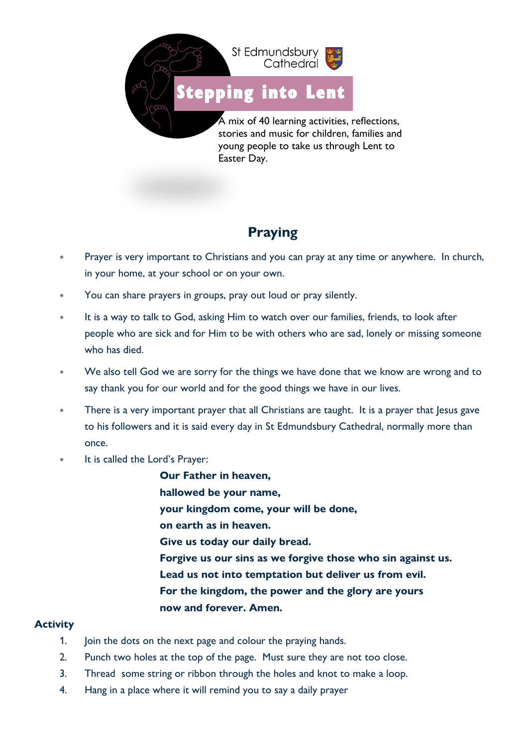

[Stepping i](https://www.google.co.uk/url?sa=i&url=http%3A%2F%2Fclipart-library.com%2Fprintable-footprints.html&psig=AOvVaw1XtmcUV1Dh0SIC0cZJDSmi&ust=1611238414423000&source=images&cd=vfe&ved=0CAIQjRxqFwoTCNiL8PzYqu4CFQAAAAAdAAAAABAE)nto Lent

A mix of 40 learning activities, reflections, stories and music for children, families and young people to take us through Lent to Easter Day.

## **Praying**

- Prayer is very important to Christians and you can pray at any time or anywhere. In church, in your home, at your school or on your own.
- You can share prayers in groups, pray out loud or pray silently.
- It is a way to talk to God, asking Him to watch over our families, friends, to look after people who are sick and for Him to be with others who are sad, lonely or missing someone who has died.
- We also tell God we are sorry for the things we have done that we know are wrong and to say thank you for our world and for the good things we have in our lives.
- There is a very important prayer that all Christians are taught. It is a prayer that Jesus gave to his followers and it is said every day in St Edmundsbury Cathedral, normally more than once.
- It is called the Lord's Prayer:
	- **Our Father in heaven, hallowed be your name, your kingdom come, your will be done, on earth as in heaven. Give us today our daily bread. Forgive us our sins as we forgive those who sin against us. Lead us not into temptation but deliver us from evil. For the kingdom, the power and the glory are yours now and forever. Amen.**

## **Activity**

- 1. Join the dots on the next page and colour the praying hands.
- 2. Punch two holes at the top of the page. Must sure they are not too close.
- 3. Thread some string or ribbon through the holes and knot to make a loop.
- 4. Hang in a place where it will remind you to say a daily prayer